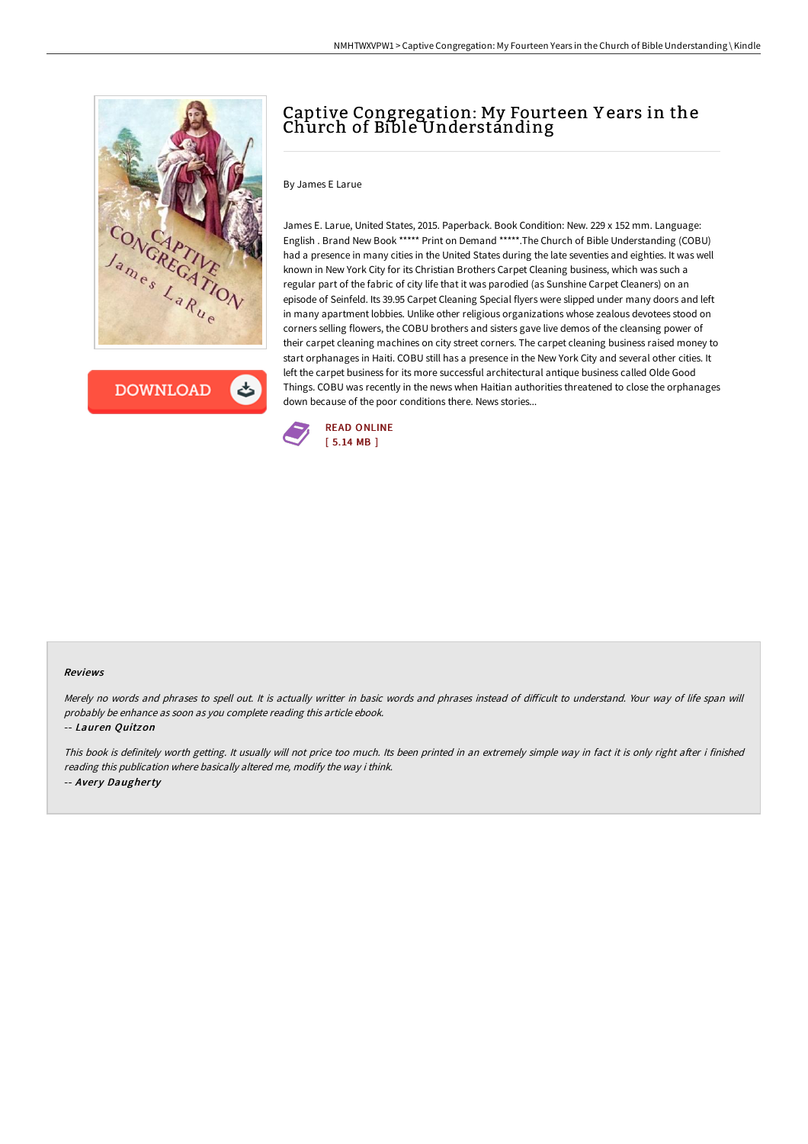

**DOWNLOAD** 

ٹ

# Captive Congregation: My Fourteen Y ears in the Church of Bible Understanding

### By James E Larue

James E. Larue, United States, 2015. Paperback. Book Condition: New. 229 x 152 mm. Language: English . Brand New Book \*\*\*\*\* Print on Demand \*\*\*\*\*.The Church of Bible Understanding (COBU) had a presence in many cities in the United States during the late seventies and eighties. It was well known in New York City for its Christian Brothers Carpet Cleaning business, which was such a regular part of the fabric of city life that it was parodied (as Sunshine Carpet Cleaners) on an episode of Seinfeld. Its 39.95 Carpet Cleaning Special flyers were slipped under many doors and left in many apartment lobbies. Unlike other religious organizations whose zealous devotees stood on corners selling flowers, the COBU brothers and sisters gave live demos of the cleansing power of their carpet cleaning machines on city street corners. The carpet cleaning business raised money to start orphanages in Haiti. COBU still has a presence in the New York City and several other cities. It left the carpet business for its more successful architectural antique business called Olde Good Things. COBU was recently in the news when Haitian authorities threatened to close the orphanages down because of the poor conditions there. News stories...



#### Reviews

Merely no words and phrases to spell out. It is actually writter in basic words and phrases instead of difficult to understand. Your way of life span will probably be enhance as soon as you complete reading this article ebook.

#### -- Lauren Quitzon

This book is definitely worth getting. It usually will not price too much. Its been printed in an extremely simple way in fact it is only right after i finished reading this publication where basically altered me, modify the way i think. -- Avery Daugherty